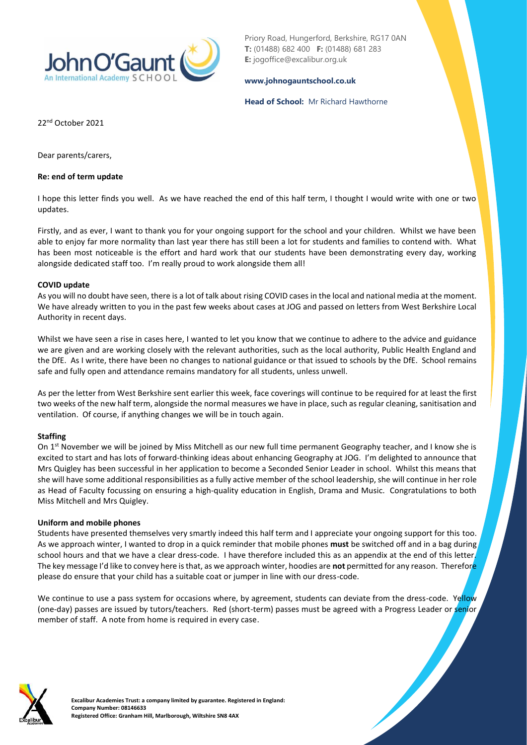

Priory Road, Hungerford, Berkshire, RG17 0AN **T:** (01488) 682 400 **F:** (01488) 681 283 **E:** jogoffice@excalibur.org.uk

#### **[www.johnogauntschool.co.uk](http://www.johnogauntschool.co.uk/)**

#### **Head of School:** Mr Richard Hawthorne

22nd October 2021

Dear parents/carers,

#### **Re: end of term update**

I hope this letter finds you well. As we have reached the end of this half term, I thought I would write with one or two updates.

Firstly, and as ever, I want to thank you for your ongoing support for the school and your children. Whilst we have been able to enjoy far more normality than last year there has still been a lot for students and families to contend with. What has been most noticeable is the effort and hard work that our students have been demonstrating every day, working alongside dedicated staff too. I'm really proud to work alongside them all!

## **COVID update**

As you will no doubt have seen, there is a lot of talk about rising COVID cases in the local and national media at the moment. We have already written to you in the past few weeks about cases at JOG and passed on letters from West Berkshire Local Authority in recent days.

Whilst we have seen a rise in cases here, I wanted to let you know that we continue to adhere to the advice and guidance we are given and are working closely with the relevant authorities, such as the local authority, Public Health England and the DfE. As I write, there have been no changes to national guidance or that issued to schools by the DfE. School remains safe and fully open and attendance remains mandatory for all students, unless unwell.

As per the letter from West Berkshire sent earlier this week, face coverings will continue to be required for at least the first two weeks of the new half term, alongside the normal measures we have in place, such as regular cleaning, sanitisation and ventilation. Of course, if anything changes we will be in touch again.

## **Staffing**

On 1<sup>st</sup> November we will be joined by Miss Mitchell as our new full time permanent Geography teacher, and I know she is excited to start and has lots of forward-thinking ideas about enhancing Geography at JOG. I'm delighted to announce that Mrs Quigley has been successful in her application to become a Seconded Senior Leader in school. Whilst this means that she will have some additional responsibilities as a fully active member of the school leadership, she will continue in her role as Head of Faculty focussing on ensuring a high-quality education in English, Drama and Music. Congratulations to both Miss Mitchell and Mrs Quigley.

## **Uniform and mobile phones**

Students have presented themselves very smartly indeed this half term and I appreciate your ongoing support for this too. As we approach winter, I wanted to drop in a quick reminder that mobile phones **must** be switched off and in a bag during school hours and that we have a clear dress-code. I have therefore included this as an appendix at the end of this letter. The key message I'd like to convey here is that, as we approach winter, hoodies are **not** permitted for any reason. Therefore please do ensure that your child has a suitable coat or jumper in line with our dress-code.

We continue to use a pass system for occasions where, by agreement, students can deviate from the dress-code. Yellow (one-day) passes are issued by tutors/teachers. Red (short-term) passes must be agreed with a Progress Leader or senior member of staff. A note from home is required in every case.

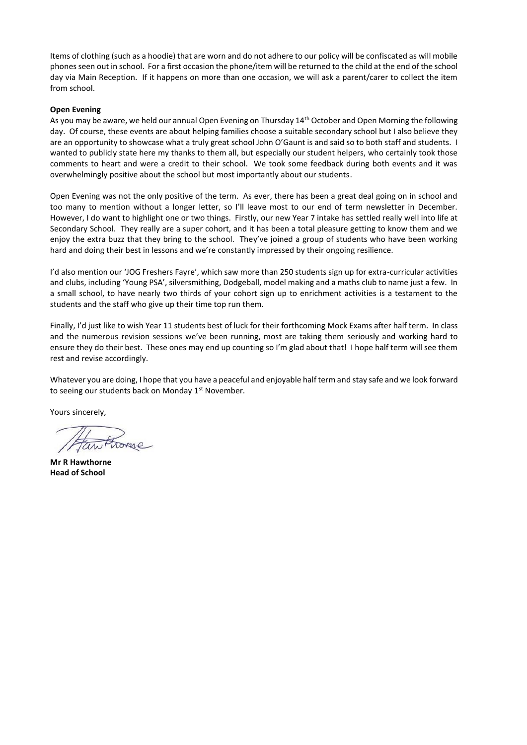Items of clothing (such as a hoodie) that are worn and do not adhere to our policy will be confiscated as will mobile phones seen out in school. For a first occasion the phone/item will be returned to the child at the end of the school day via Main Reception. If it happens on more than one occasion, we will ask a parent/carer to collect the item from school.

#### **Open Evening**

As you may be aware, we held our annual Open Evening on Thursday 14<sup>th</sup> October and Open Morning the following day. Of course, these events are about helping families choose a suitable secondary school but I also believe they are an opportunity to showcase what a truly great school John O'Gaunt is and said so to both staff and students. I wanted to publicly state here my thanks to them all, but especially our student helpers, who certainly took those comments to heart and were a credit to their school. We took some feedback during both events and it was overwhelmingly positive about the school but most importantly about our students.

Open Evening was not the only positive of the term. As ever, there has been a great deal going on in school and too many to mention without a longer letter, so I'll leave most to our end of term newsletter in December. However, I do want to highlight one or two things. Firstly, our new Year 7 intake has settled really well into life at Secondary School. They really are a super cohort, and it has been a total pleasure getting to know them and we enjoy the extra buzz that they bring to the school. They've joined a group of students who have been working hard and doing their best in lessons and we're constantly impressed by their ongoing resilience.

I'd also mention our 'JOG Freshers Fayre', which saw more than 250 students sign up for extra-curricular activities and clubs, including 'Young PSA', silversmithing, Dodgeball, model making and a maths club to name just a few. In a small school, to have nearly two thirds of your cohort sign up to enrichment activities is a testament to the students and the staff who give up their time top run them.

Finally, I'd just like to wish Year 11 students best of luck for their forthcoming Mock Exams after half term. In class and the numerous revision sessions we've been running, most are taking them seriously and working hard to ensure they do their best. These ones may end up counting so I'm glad about that! I hope half term will see them rest and revise accordingly.

Whatever you are doing, I hope that you have a peaceful and enjoyable half term and stay safe and we look forward to seeing our students back on Monday 1<sup>st</sup> November.

Yours sincerely,

**Mr R Hawthorne Head of School**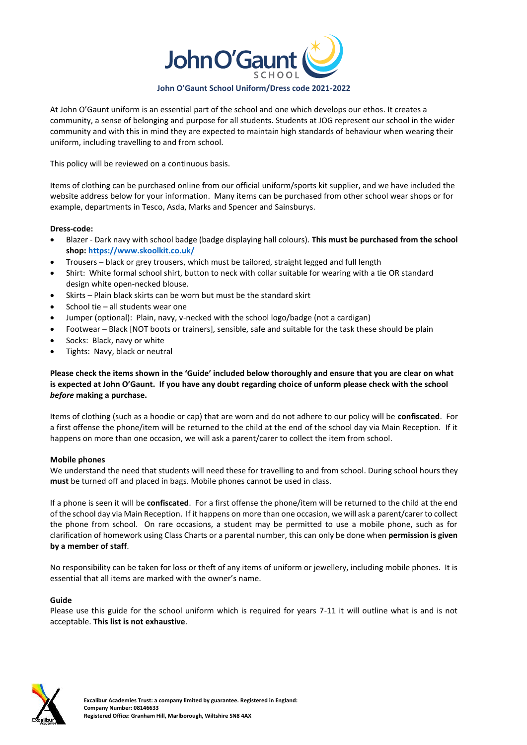

At John O'Gaunt uniform is an essential part of the school and one which develops our ethos. It creates a community, a sense of belonging and purpose for all students. Students at JOG represent our school in the wider community and with this in mind they are expected to maintain high standards of behaviour when wearing their uniform, including travelling to and from school.

This policy will be reviewed on a continuous basis.

Items of clothing can be purchased online from our official uniform/sports kit supplier, and we have included the website address below for your information. Many items can be purchased from other school wear shops or for example, departments in Tesco, Asda, Marks and Spencer and Sainsburys.

## **Dress-code:**

- Blazer Dark navy with school badge (badge displaying hall colours). **This must be purchased from the school shop: <https://www.skoolkit.co.uk/>**
- Trousers black or grey trousers, which must be tailored, straight legged and full length
- Shirt: White formal school shirt, button to neck with collar suitable for wearing with a tie OR standard design white open-necked blouse.
- Skirts Plain black skirts can be worn but must be the standard skirt
- School tie all students wear one
- Jumper (optional): Plain, navy, v-necked with the school logo/badge (not a cardigan)
- Footwear Black [NOT boots or trainers], sensible, safe and suitable for the task these should be plain
- Socks: Black, navy or white
- Tights: Navy, black or neutral

## **Please check the items shown in the 'Guide' included below thoroughly and ensure that you are clear on what is expected at John O'Gaunt. If you have any doubt regarding choice of unform please check with the school**  *before* **making a purchase.**

Items of clothing (such as a hoodie or cap) that are worn and do not adhere to our policy will be **confiscated**. For a first offense the phone/item will be returned to the child at the end of the school day via Main Reception. If it happens on more than one occasion, we will ask a parent/carer to collect the item from school.

## **Mobile phones**

We understand the need that students will need these for travelling to and from school. During school hours they **must** be turned off and placed in bags. Mobile phones cannot be used in class.

If a phone is seen it will be **confiscated**. For a first offense the phone/item will be returned to the child at the end of the school day via Main Reception. If it happens on more than one occasion, we will ask a parent/carer to collect the phone from school. On rare occasions, a student may be permitted to use a mobile phone, such as for clarification of homework using Class Charts or a parental number, this can only be done when **permission is given by a member of staff**.

No responsibility can be taken for loss or theft of any items of uniform or jewellery, including mobile phones. It is essential that all items are marked with the owner's name.

## **Guide**

Please use this guide for the school uniform which is required for years 7-11 it will outline what is and is not acceptable. **This list is not exhaustive**.

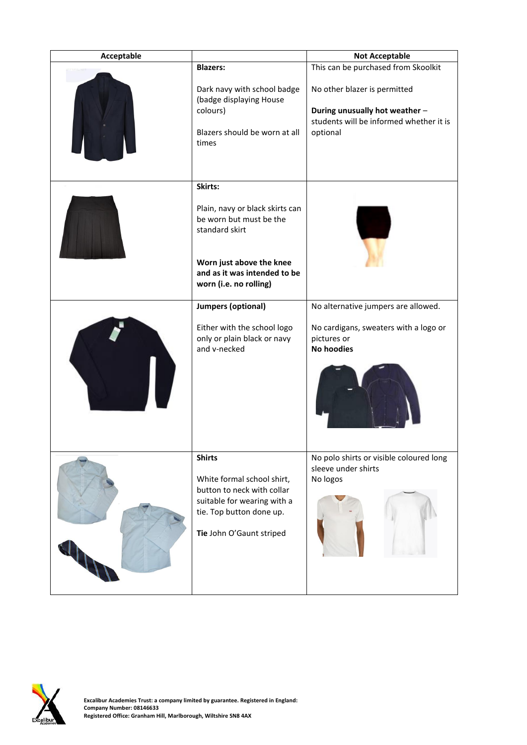| Acceptable |                                                                                                                                                 | <b>Not Acceptable</b>                                                     |  |
|------------|-------------------------------------------------------------------------------------------------------------------------------------------------|---------------------------------------------------------------------------|--|
|            | <b>Blazers:</b>                                                                                                                                 | This can be purchased from Skoolkit                                       |  |
|            | Dark navy with school badge<br>(badge displaying House<br>colours)                                                                              | No other blazer is permitted<br>During unusually hot weather -            |  |
|            |                                                                                                                                                 | students will be informed whether it is                                   |  |
|            | Blazers should be worn at all<br>times                                                                                                          | optional                                                                  |  |
|            | Skirts:                                                                                                                                         |                                                                           |  |
|            | Plain, navy or black skirts can<br>be worn but must be the<br>standard skirt                                                                    |                                                                           |  |
|            | Worn just above the knee<br>and as it was intended to be<br>worn (i.e. no rolling)                                                              |                                                                           |  |
|            | <b>Jumpers (optional)</b>                                                                                                                       | No alternative jumpers are allowed.                                       |  |
|            | Either with the school logo<br>only or plain black or navy<br>and v-necked<br><b>Shirts</b>                                                     | No cardigans, sweaters with a logo or<br>pictures or<br><b>No hoodies</b> |  |
|            |                                                                                                                                                 | No polo shirts or visible coloured long<br>sleeve under shirts            |  |
|            | White formal school shirt,<br>button to neck with collar<br>suitable for wearing with a<br>tie. Top button done up.<br>Tie John O'Gaunt striped | No logos                                                                  |  |
|            |                                                                                                                                                 |                                                                           |  |

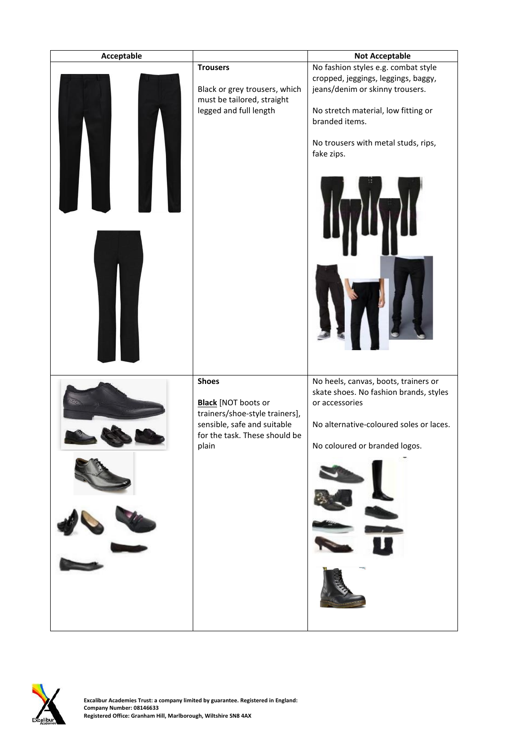

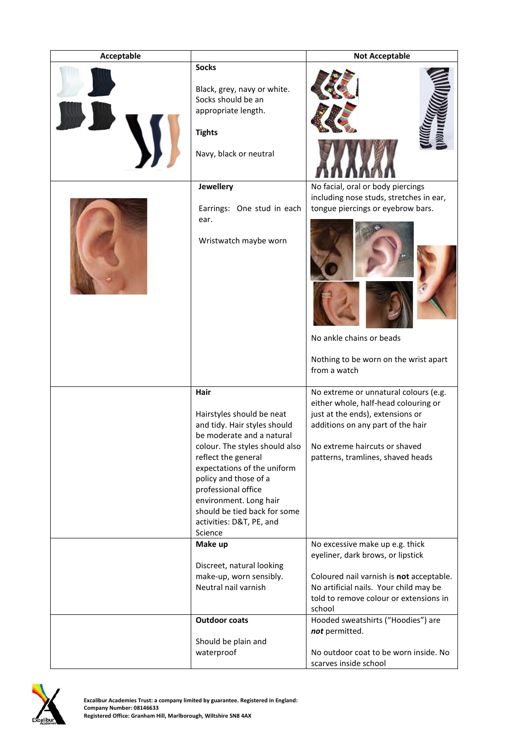| Acceptable |                                                                                                                                                                                                                                                                                                                                         | <b>Not Acceptable</b>                                                                                                                                                                                                                                                                                                                    |  |
|------------|-----------------------------------------------------------------------------------------------------------------------------------------------------------------------------------------------------------------------------------------------------------------------------------------------------------------------------------------|------------------------------------------------------------------------------------------------------------------------------------------------------------------------------------------------------------------------------------------------------------------------------------------------------------------------------------------|--|
|            | <b>Socks</b><br>Black, grey, navy or white.<br>Socks should be an<br>appropriate length.<br><b>Tights</b><br>Navy, black or neutral                                                                                                                                                                                                     |                                                                                                                                                                                                                                                                                                                                          |  |
|            | Jewellery<br>Earrings: One stud in each<br>ear.<br>Wristwatch maybe worn                                                                                                                                                                                                                                                                | No facial, oral or body piercings<br>including nose studs, stretches in ear,<br>tongue piercings or eyebrow bars.<br>No ankle chains or beads<br>Nothing to be worn on the wrist apart<br>from a watch                                                                                                                                   |  |
|            | Hair<br>Hairstyles should be neat<br>and tidy. Hair styles should<br>be moderate and a natural<br>colour. The styles should also<br>reflect the general<br>expectations of the uniform<br>policy and those of a<br>professional office<br>environment. Long hair<br>should be tied back for some<br>activities: D&T, PE, and<br>Science | No extreme or unnatural colours (e.g.<br>either whole, half-head colouring or<br>just at the ends), extensions or<br>additions on any part of the hair<br>No extreme haircuts or shaved<br>patterns, tramlines, shaved heads                                                                                                             |  |
|            | Make up<br>Discreet, natural looking<br>make-up, worn sensibly.<br>Neutral nail varnish<br><b>Outdoor coats</b><br>Should be plain and<br>waterproof                                                                                                                                                                                    | No excessive make up e.g. thick<br>eyeliner, dark brows, or lipstick<br>Coloured nail varnish is not acceptable.<br>No artificial nails. Your child may be<br>told to remove colour or extensions in<br>school<br>Hooded sweatshirts ("Hoodies") are<br>not permitted.<br>No outdoor coat to be worn inside. No<br>scarves inside school |  |